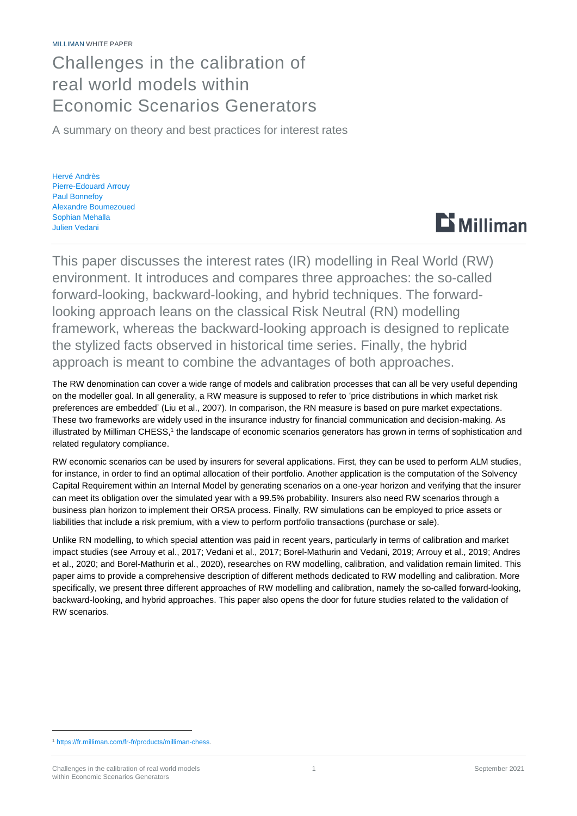## Challenges in the calibration of real world models within Economic Scenarios Generators

A summary on theory and best practices for interest rates

Hervé Andrès Pierre-Edouard Arrouy Paul Bonnefoy Alexandre Boumezoued Sophian Mehalla Julien Vedani



This paper discusses the interest rates (IR) modelling in Real World (RW) environment. It introduces and compares three approaches: the so-called forward-looking, backward-looking, and hybrid techniques. The forwardlooking approach leans on the classical Risk Neutral (RN) modelling framework, whereas the backward-looking approach is designed to replicate the stylized facts observed in historical time series. Finally, the hybrid approach is meant to combine the advantages of both approaches.

The RW denomination can cover a wide range of models and calibration processes that can all be very useful depending on the modeller goal. In all generality, a RW measure is supposed to refer to 'price distributions in which market risk preferences are embedded' (Liu et al., 2007). In comparison, the RN measure is based on pure market expectations. These two frameworks are widely used in the insurance industry for financial communication and decision-making. As illustrated by Milliman CHESS,<sup>1</sup> the landscape of economic scenarios generators has grown in terms of sophistication and related regulatory compliance.

RW economic scenarios can be used by insurers for several applications. First, they can be used to perform ALM studies, for instance, in order to find an optimal allocation of their portfolio. Another application is the computation of the Solvency Capital Requirement within an Internal Model by generating scenarios on a one-year horizon and verifying that the insurer can meet its obligation over the simulated year with a 99.5% probability. Insurers also need RW scenarios through a business plan horizon to implement their ORSA process. Finally, RW simulations can be employed to price assets or liabilities that include a risk premium, with a view to perform portfolio transactions (purchase or sale).

Unlike RN modelling, to which special attention was paid in recent years, particularly in terms of calibration and market impact studies (see Arrouy et al., 2017; Vedani et al., 2017; Borel-Mathurin and Vedani, 2019; Arrouy et al., 2019; Andres et al., 2020; and Borel-Mathurin et al., 2020), researches on RW modelling, calibration, and validation remain limited. This paper aims to provide a comprehensive description of different methods dedicated to RW modelling and calibration. More specifically, we present three different approaches of RW modelling and calibration, namely the so-called forward-looking, backward-looking, and hybrid approaches. This paper also opens the door for future studies related to the validation of RW scenarios.

<sup>1</sup> [https://fr.milliman.com/fr-fr/products/milliman-chess.](https://fr.milliman.com/fr-fr/products/milliman-chess)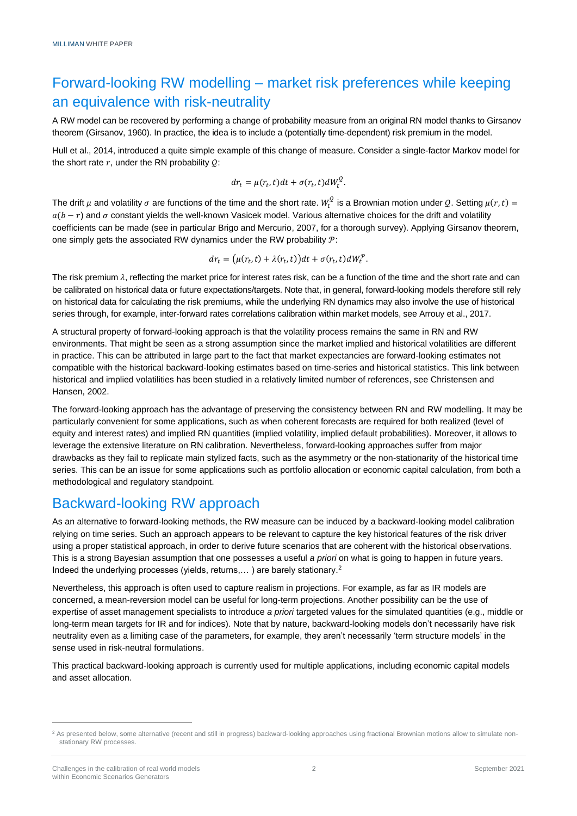## Forward-looking RW modelling – market risk preferences while keeping an equivalence with risk-neutrality

A RW model can be recovered by performing a change of probability measure from an original RN model thanks to Girsanov theorem (Girsanov, 1960). In practice, the idea is to include a (potentially time-dependent) risk premium in the model.

Hull et al., 2014, introduced a quite simple example of this change of measure. Consider a single-factor Markov model for the short rate  $r$ , under the RN probability  $Q$ :

$$
dr_t = \mu(r_t, t)dt + \sigma(r_t, t)dW_t^Q.
$$

The drift  $\mu$  and volatility  $\sigma$  are functions of the time and the short rate.  $W_t^Q$  is a Brownian motion under  $Q.$  Setting  $\mu(r,t) =$  $a(b - r)$  and  $\sigma$  constant yields the well-known Vasicek model. Various alternative choices for the drift and volatility coefficients can be made (see in particular Brigo and Mercurio, 2007, for a thorough survey). Applying Girsanov theorem, one simply gets the associated RW dynamics under the RW probability  $P$ :

$$
dr_t = (\mu(r_t, t) + \lambda(r_t, t))dt + \sigma(r_t, t)dW_t^{\mathcal{P}}.
$$

The risk premium  $\lambda$ , reflecting the market price for interest rates risk, can be a function of the time and the short rate and can be calibrated on historical data or future expectations/targets. Note that, in general, forward-looking models therefore still rely on historical data for calculating the risk premiums, while the underlying RN dynamics may also involve the use of historical series through, for example, inter-forward rates correlations calibration within market models, see Arrouy et al., 2017.

A structural property of forward-looking approach is that the volatility process remains the same in RN and RW environments. That might be seen as a strong assumption since the market implied and historical volatilities are different in practice. This can be attributed in large part to the fact that market expectancies are forward-looking estimates not compatible with the historical backward-looking estimates based on time-series and historical statistics. This link between historical and implied volatilities has been studied in a relatively limited number of references, see Christensen and Hansen, 2002.

The forward-looking approach has the advantage of preserving the consistency between RN and RW modelling. It may be particularly convenient for some applications, such as when coherent forecasts are required for both realized (level of equity and interest rates) and implied RN quantities (implied volatility, implied default probabilities). Moreover, it allows to leverage the extensive literature on RN calibration. Nevertheless, forward-looking approaches suffer from major drawbacks as they fail to replicate main stylized facts, such as the asymmetry or the non-stationarity of the historical time series. This can be an issue for some applications such as portfolio allocation or economic capital calculation, from both a methodological and regulatory standpoint.

### Backward-looking RW approach

As an alternative to forward-looking methods, the RW measure can be induced by a backward-looking model calibration relying on time series. Such an approach appears to be relevant to capture the key historical features of the risk driver using a proper statistical approach, in order to derive future scenarios that are coherent with the historical observations. This is a strong Bayesian assumption that one possesses a useful *a priori* on what is going to happen in future years. Indeed the underlying processes (yields, returns,...) are barely stationary.<sup>2</sup>

Nevertheless, this approach is often used to capture realism in projections. For example, as far as IR models are concerned, a mean-reversion model can be useful for long-term projections. Another possibility can be the use of expertise of asset management specialists to introduce *a priori* targeted values for the simulated quantities (e.g., middle or long-term mean targets for IR and for indices). Note that by nature, backward-looking models don't necessarily have risk neutrality even as a limiting case of the parameters, for example, they aren't necessarily 'term structure models' in the sense used in risk-neutral formulations.

This practical backward-looking approach is currently used for multiple applications, including economic capital models and asset allocation.

<sup>&</sup>lt;sup>2</sup> As presented below, some alternative (recent and still in progress) backward-looking approaches using fractional Brownian motions allow to simulate nonstationary RW processes.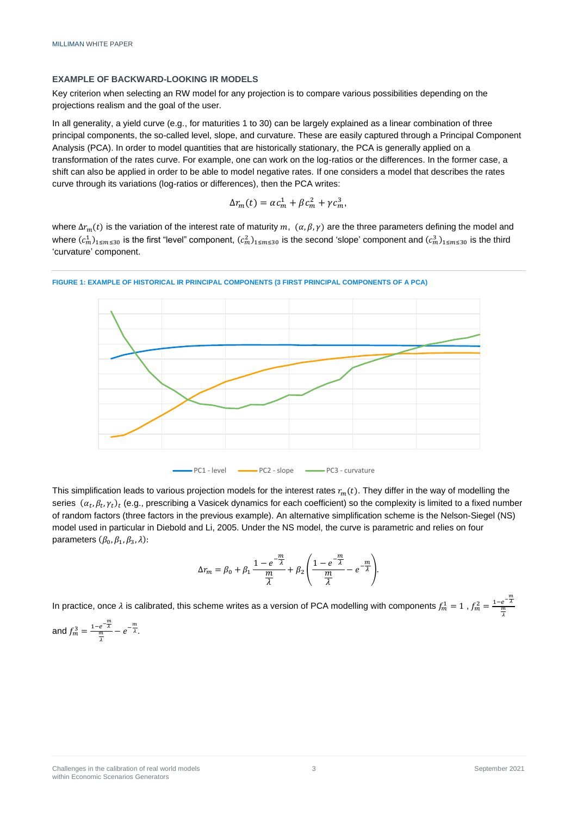#### **EXAMPLE OF BACKWARD-LOOKING IR MODELS**

Key criterion when selecting an RW model for any projection is to compare various possibilities depending on the projections realism and the goal of the user.

In all generality, a yield curve (e.g., for maturities 1 to 30) can be largely explained as a linear combination of three principal components, the so-called level, slope, and curvature. These are easily captured through a Principal Component Analysis (PCA). In order to model quantities that are historically stationary, the PCA is generally applied on a transformation of the rates curve. For example, one can work on the log-ratios or the differences. In the former case, a shift can also be applied in order to be able to model negative rates. If one considers a model that describes the rates curve through its variations (log-ratios or differences), then the PCA writes:

$$
\Delta r_m(t) = \alpha c_m^1 + \beta c_m^2 + \gamma c_m^3,
$$

where  $\Delta r_m(t)$  is the variation of the interest rate of maturity m,  $(\alpha, \beta, \gamma)$  are the three parameters defining the model and where  $(c_m^1)_{1\le m\le 30}$  is the first "level" component,  $(c_m^2)_{1\le m\le 30}$  is the second 'slope' component and  $(c_m^3)_{1\le m\le 30}$  is the third 'curvature' component.



#### **FIGURE 1: EXAMPLE OF HISTORICAL IR PRINCIPAL COMPONENTS (3 FIRST PRINCIPAL COMPONENTS OF A PCA)**

This simplification leads to various projection models for the interest rates  $r_m(t)$ . They differ in the way of modelling the series  $(\alpha_t, \beta_t, \gamma_t)_t$  (e.g., prescribing a Vasicek dynamics for each coefficient) so the complexity is limited to a fixed number of random factors (three factors in the previous example). An alternative simplification scheme is the Nelson-Siegel (NS) model used in particular in Diebold and Li, 2005. Under the NS model, the curve is parametric and relies on four parameters  $(\beta_0, \beta_1, \beta_3, \lambda)$ :

$$
\Delta r_m = \beta_0 + \beta_1 \frac{1 - e^{-\frac{m}{\lambda}}}{\frac{m}{\lambda}} + \beta_2 \left( \frac{1 - e^{-\frac{m}{\lambda}}}{\frac{m}{\lambda}} - e^{-\frac{m}{\lambda}} \right).
$$

In practice, once  $\lambda$  is calibrated, this scheme writes as a version of PCA modelling with components  $f_m^1 = 1$  ,  $f_m^2 = \frac{1-e^{-\frac{m}{\lambda}}}{\frac{m}{\lambda}}$ 

and 
$$
f_m^3 = \frac{1 - e^{-\frac{m}{\lambda}}}{\frac{m}{\lambda}} - e^{-\frac{m}{\lambda}}
$$
.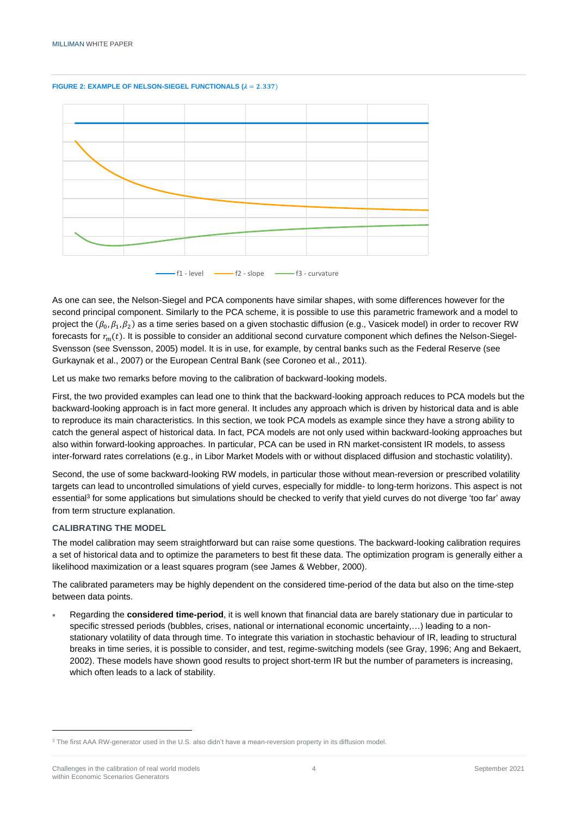#### **FIGURE 2: EXAMPLE OF NELSON-SIEGEL FUNCTIONALS**  $(\lambda = 2.337)$



As one can see, the Nelson-Siegel and PCA components have similar shapes, with some differences however for the second principal component. Similarly to the PCA scheme, it is possible to use this parametric framework and a model to project the  $(\beta_0,\beta_1,\beta_2)$  as a time series based on a given stochastic diffusion (e.g., Vasicek model) in order to recover RW forecasts for  $r_m(t)$ . It is possible to consider an additional second curvature component which defines the Nelson-Siegel-Svensson (see Svensson, 2005) model. It is in use, for example, by central banks such as the Federal Reserve (see Gurkaynak et al., 2007) or the European Central Bank (see Coroneo et al., 2011).

Let us make two remarks before moving to the calibration of backward-looking models.

First, the two provided examples can lead one to think that the backward-looking approach reduces to PCA models but the backward-looking approach is in fact more general. It includes any approach which is driven by historical data and is able to reproduce its main characteristics. In this section, we took PCA models as example since they have a strong ability to catch the general aspect of historical data. In fact, PCA models are not only used within backward-looking approaches but also within forward-looking approaches. In particular, PCA can be used in RN market-consistent IR models, to assess inter-forward rates correlations (e.g., in Libor Market Models with or without displaced diffusion and stochastic volatility).

Second, the use of some backward-looking RW models, in particular those without mean-reversion or prescribed volatility targets can lead to uncontrolled simulations of yield curves, especially for middle- to long-term horizons. This aspect is not essential<sup>3</sup> for some applications but simulations should be checked to verify that yield curves do not diverge 'too far' away from term structure explanation.

#### **CALIBRATING THE MODEL**

The model calibration may seem straightforward but can raise some questions. The backward-looking calibration requires a set of historical data and to optimize the parameters to best fit these data. The optimization program is generally either a likelihood maximization or a least squares program (see James & Webber, 2000).

The calibrated parameters may be highly dependent on the considered time-period of the data but also on the time-step between data points.

 Regarding the **considered time-period**, it is well known that financial data are barely stationary due in particular to specific stressed periods (bubbles, crises, national or international economic uncertainty,...) leading to a nonstationary volatility of data through time. To integrate this variation in stochastic behaviour of IR, leading to structural breaks in time series, it is possible to consider, and test, regime-switching models (see Gray, 1996; Ang and Bekaert, 2002). These models have shown good results to project short-term IR but the number of parameters is increasing, which often leads to a lack of stability.

<sup>3</sup> The first AAA RW-generator used in the U.S. also didn't have a mean-reversion property in its diffusion model.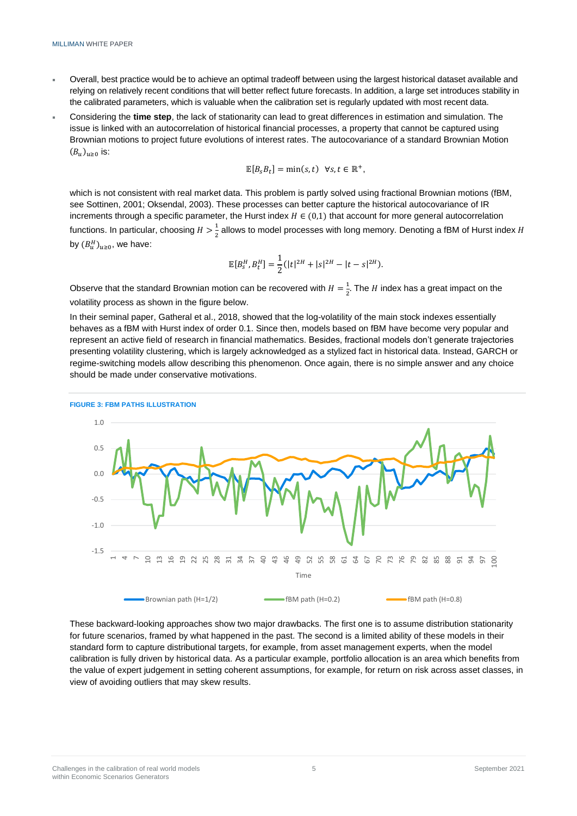- Overall, best practice would be to achieve an optimal tradeoff between using the largest historical dataset available and relying on relatively recent conditions that will better reflect future forecasts. In addition, a large set introduces stability in the calibrated parameters, which is valuable when the calibration set is regularly updated with most recent data.
- Considering the **time step**, the lack of stationarity can lead to great differences in estimation and simulation. The issue is linked with an autocorrelation of historical financial processes, a property that cannot be captured using Brownian motions to project future evolutions of interest rates. The autocovariance of a standard Brownian Motion  $(B_u)_{u\geq0}$  is:

$$
\mathbb{E}[B_s B_t] = \min(s,t) \ \forall s,t \in \mathbb{R}^+,
$$

which is not consistent with real market data. This problem is partly solved using fractional Brownian motions (fBM, see Sottinen, 2001; Oksendal, 2003). These processes can better capture the historical autocovariance of IR increments through a specific parameter, the Hurst index  $H \in (0,1)$  that account for more general autocorrelation functions. In particular, choosing  $H > \frac{1}{3}$  $\frac{1}{2}$  allows to model processes with long memory. Denoting a fBM of Hurst index H by  $(B_u^H)_{u\geq 0}$ , we have:

$$
\mathbb{E}[B_s^H, B_t^H] = \frac{1}{2} (|t|^{2H} + |s|^{2H} - |t - s|^{2H}).
$$

Observe that the standard Brownian motion can be recovered with  $H=\frac{1}{2}$  $\frac{1}{2}$ . The *H* index has a great impact on the volatility process as shown in the figure below.

In their seminal paper, Gatheral et al., 2018, showed that the log-volatility of the main stock indexes essentially behaves as a fBM with Hurst index of order 0.1. Since then, models based on fBM have become very popular and represent an active field of research in financial mathematics. Besides, fractional models don't generate trajectories presenting volatility clustering, which is largely acknowledged as a stylized fact in historical data. Instead, GARCH or regime-switching models allow describing this phenomenon. Once again, there is no simple answer and any choice should be made under conservative motivations.



These backward-looking approaches show two major drawbacks. The first one is to assume distribution stationarity for future scenarios, framed by what happened in the past. The second is a limited ability of these models in their standard form to capture distributional targets, for example, from asset management experts, when the model calibration is fully driven by historical data. As a particular example, portfolio allocation is an area which benefits from the value of expert judgement in setting coherent assumptions, for example, for return on risk across asset classes, in view of avoiding outliers that may skew results.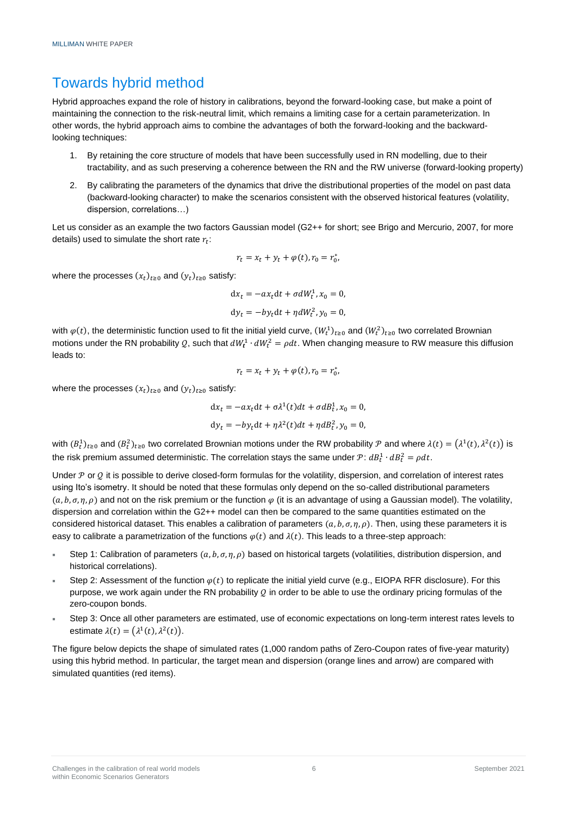## Towards hybrid method

Hybrid approaches expand the role of history in calibrations, beyond the forward-looking case, but make a point of maintaining the connection to the risk-neutral limit, which remains a limiting case for a certain parameterization. In other words, the hybrid approach aims to combine the advantages of both the forward-looking and the backwardlooking techniques:

- 1. By retaining the core structure of models that have been successfully used in RN modelling, due to their tractability, and as such preserving a coherence between the RN and the RW universe (forward-looking property)
- 2. By calibrating the parameters of the dynamics that drive the distributional properties of the model on past data (backward-looking character) to make the scenarios consistent with the observed historical features (volatility, dispersion, correlations…)

Let us consider as an example the two factors Gaussian model (G2++ for short; see Brigo and Mercurio, 2007, for more details) used to simulate the short rate  $r_t$ :

$$
r_t = x_t + y_t + \varphi(t), r_0 = r_0^*,
$$

where the processes  $(x_t)_{t\geq0}$  and  $(y_t)_{t\geq0}$  satisfy:

$$
dx_t = -ax_t dt + \sigma dW_t^1, x_0 = 0,
$$
  
\n
$$
dy_t = -by_t dt + \eta dW_t^2, y_0 = 0,
$$

with  $\varphi(t)$ , the deterministic function used to fit the initial yield curve,  $(W_t^1)_{t\ge0}$  and  $(W_t^2)_{t\ge0}$  two correlated Brownian motions under the RN probability Q, such that  $dW_t^1 \cdot dW_t^2 = \rho dt$ . When changing measure to RW measure this diffusion leads to:

$$
r_t = x_t + y_t + \varphi(t), r_0 = r_0^*,
$$

where the processes  $(x_t)_{t\geq0}$  and  $(y_t)_{t\geq0}$  satisfy:

$$
dx_t = -ax_t dt + \sigma \lambda^1(t) dt + \sigma dB_t^1, x_0 = 0,
$$
  

$$
dy_t = -by_t dt + \eta \lambda^2(t) dt + \eta dB_t^2, y_0 = 0,
$$

with  $(B_t^1)_{t\ge0}$  and  $(B_t^2)_{t\ge0}$  two correlated Brownian motions under the RW probability  $P$  and where  $\lambda(t) = (\lambda^1(t), \lambda^2(t))$  is the risk premium assumed deterministic. The correlation stays the same under  $\mathcal{P}$ :  $dB_t^1 \cdot dB_t^2 = \rho dt$ .

Under  $P$  or  $O$  it is possible to derive closed-form formulas for the volatility, dispersion, and correlation of interest rates using Ito's isometry. It should be noted that these formulas only depend on the so-called distributional parameters  $(a, b, \sigma, \eta, \rho)$  and not on the risk premium or the function  $\varphi$  (it is an advantage of using a Gaussian model). The volatility, dispersion and correlation within the G2++ model can then be compared to the same quantities estimated on the considered historical dataset. This enables a calibration of parameters  $(a, b, \sigma, \eta, \rho)$ . Then, using these parameters it is easy to calibrate a parametrization of the functions  $\varphi(t)$  and  $\lambda(t)$ . This leads to a three-step approach:

- Step 1: Calibration of parameters  $(a, b, \sigma, \eta, \rho)$  based on historical targets (volatilities, distribution dispersion, and historical correlations).
- Step 2: Assessment of the function  $\varphi(t)$  to replicate the initial yield curve (e.g., EIOPA RFR disclosure). For this purpose, we work again under the RN probability  $Q$  in order to be able to use the ordinary pricing formulas of the zero-coupon bonds.
- Step 3: Once all other parameters are estimated, use of economic expectations on long-term interest rates levels to estimate  $\lambda(t) = (\lambda^1(t), \lambda^2(t)).$

The figure below depicts the shape of simulated rates (1,000 random paths of Zero-Coupon rates of five-year maturity) using this hybrid method. In particular, the target mean and dispersion (orange lines and arrow) are compared with simulated quantities (red items).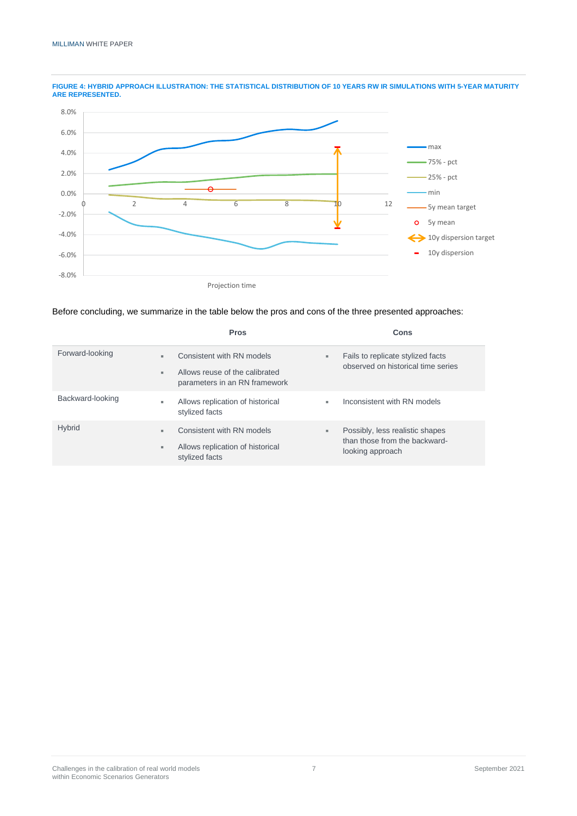

**FIGURE 4: HYBRID APPROACH ILLUSTRATION: THE STATISTICAL DISTRIBUTION OF 10 YEARS RW IR SIMULATIONS WITH 5-YEAR MATURITY ARE REPRESENTED.**

Before concluding, we summarize in the table below the pros and cons of the three presented approaches:

|                  | <b>Pros</b>                                                                                              | Cons                                                                                      |
|------------------|----------------------------------------------------------------------------------------------------------|-------------------------------------------------------------------------------------------|
| Forward-looking  | Consistent with RN models<br>×.<br>Allows reuse of the calibrated<br>m.<br>parameters in an RN framework | Fails to replicate stylized facts<br>$\blacksquare$<br>observed on historical time series |
| Backward-looking | Allows replication of historical<br>۰.<br>stylized facts                                                 | Inconsistent with RN models<br>٠                                                          |
| <b>Hybrid</b>    | Consistent with RN models<br>н.<br>Allows replication of historical<br>$\blacksquare$<br>stylized facts  | Possibly, less realistic shapes<br>٠<br>than those from the backward-<br>looking approach |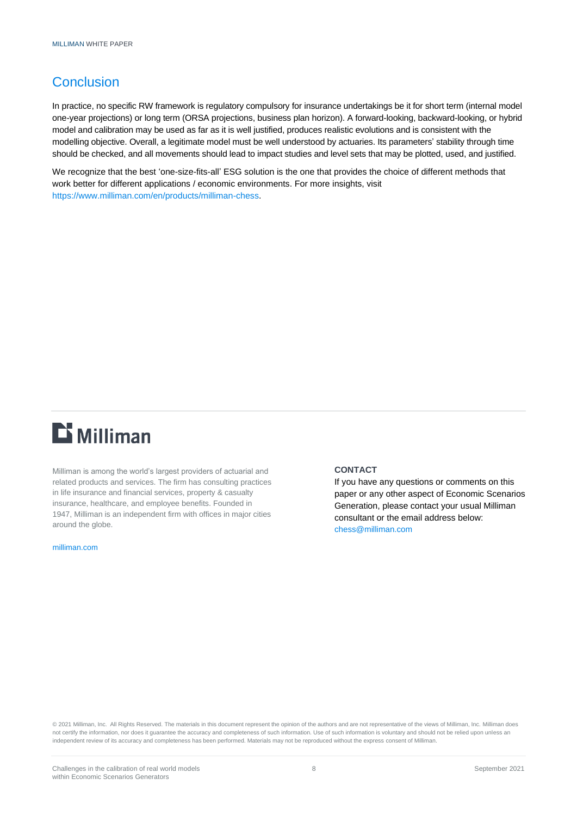## **Conclusion**

In practice, no specific RW framework is regulatory compulsory for insurance undertakings be it for short term (internal model one-year projections) or long term (ORSA projections, business plan horizon). A forward-looking, backward-looking, or hybrid model and calibration may be used as far as it is well justified, produces realistic evolutions and is consistent with the modelling objective. Overall, a legitimate model must be well understood by actuaries. Its parameters' stability through time should be checked, and all movements should lead to impact studies and level sets that may be plotted, used, and justified.

We recognize that the best 'one-size-fits-all' ESG solution is the one that provides the choice of different methods that work better for different applications / economic environments. For more insights, visit https://www.milliman.com/en/products/milliman-chess.

# $\mathbf{D}$  Milliman

Milliman is among the world's largest providers of actuarial and related products and services. The firm has consulting practices in life insurance and financial services, property & casualty insurance, healthcare, and employee benefits. Founded in 1947, Milliman is an independent firm with offices in major cities around the globe.

[milliman.com](http://www.milliman.com/)

#### **CONTACT**

If you have any questions or comments on this paper or any other aspect of Economic Scenarios Generation, please contact your usual Milliman consultant or the email address below: [chess@milliman.com](mailto:chess@milliman.com)

© 2021 Milliman, Inc. All Rights Reserved. The materials in this document represent the opinion of the authors and are not representative of the views of Milliman, Inc. Milliman does not certify the information, nor does it guarantee the accuracy and completeness of such information. Use of such information is voluntary and should not be relied upon unless an independent review of its accuracy and completeness has been performed. Materials may not be reproduced without the express consent of Milliman.